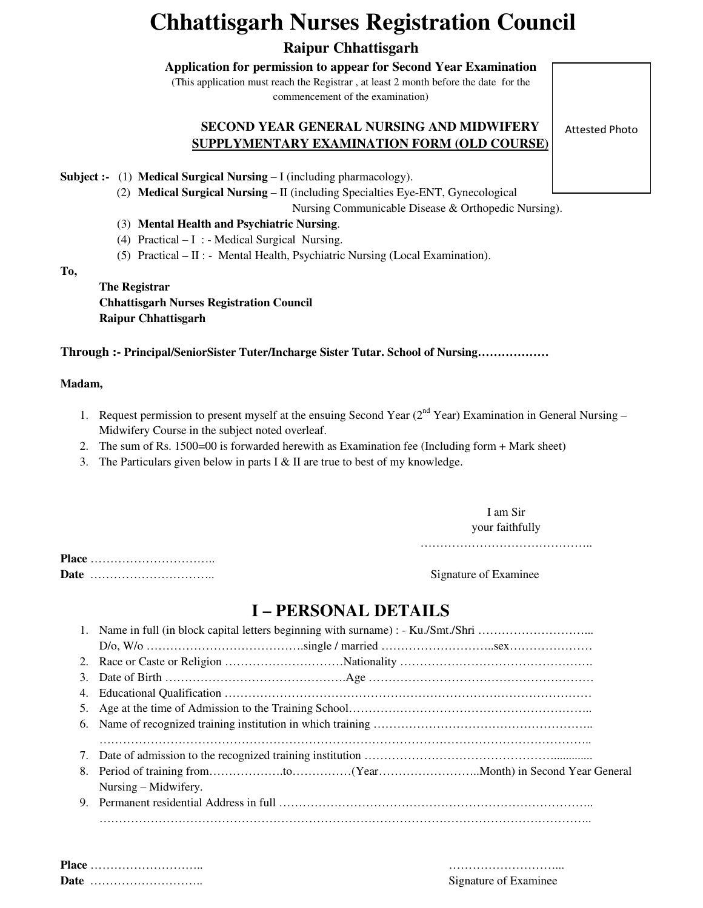# **Chhattisgarh Nurses Registration Council**

## **Raipur Chhattisgarh**

**Application for permission to appear for Second Year Examination**

(This application must reach the Registrar , at least 2 month before the date for the commencement of the examination)

### **SECOND YEAR GENERAL NURSING AND MIDWIFERY SUPPLYMENTARY EXAMINATION FORM (OLD COURSE)**

Attested Photo

**Subject :-** (1) **Medical Surgical Nursing** – I (including pharmacology).

(2) **Medical Surgical Nursing** – II (including Specialties Eye-ENT, Gynecological

Nursing Communicable Disease & Orthopedic Nursing).

- (3) **Mental Health and Psychiatric Nursing**.
- (4) Practical I : Medical Surgical Nursing.
- (5) Practical II : Mental Health, Psychiatric Nursing (Local Examination).

#### **To,**

**The Registrar Chhattisgarh Nurses Registration Council Raipur Chhattisgarh** 

#### **Through :- Principal/SeniorSister Tuter/Incharge Sister Tutar. School of Nursing………………**

#### **Madam,**

- 1. Request permission to present myself at the ensuing Second Year (2<sup>nd</sup> Year) Examination in General Nursing Midwifery Course in the subject noted overleaf.
- 2. The sum of Rs. 1500=00 is forwarded herewith as Examination fee (Including form + Mark sheet)
- 3. The Particulars given below in parts I & II are true to best of my knowledge.

#### I am Sir your faithfully

…………………………………………

**Place** ………………………….. **Date** ………………………….. Signature of Examinee

## **I – PERSONAL DETAILS**

| 3. |                      |  |  |  |  |  |  |  |  |  |
|----|----------------------|--|--|--|--|--|--|--|--|--|
| 4. |                      |  |  |  |  |  |  |  |  |  |
|    |                      |  |  |  |  |  |  |  |  |  |
|    |                      |  |  |  |  |  |  |  |  |  |
|    |                      |  |  |  |  |  |  |  |  |  |
|    |                      |  |  |  |  |  |  |  |  |  |
| 8. |                      |  |  |  |  |  |  |  |  |  |
|    | Nursing – Midwifery. |  |  |  |  |  |  |  |  |  |
|    |                      |  |  |  |  |  |  |  |  |  |
|    |                      |  |  |  |  |  |  |  |  |  |